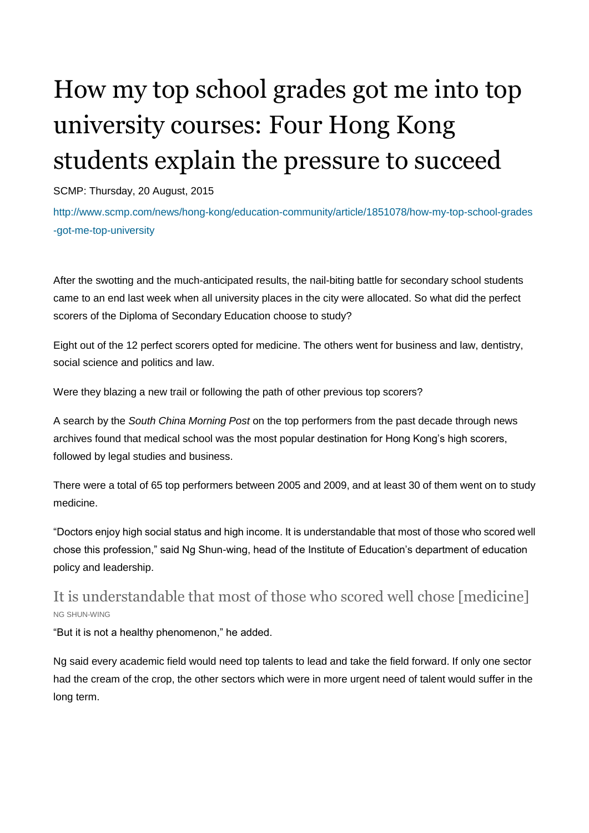# How my top school grades got me into top university courses: Four Hong Kong students explain the pressure to succeed

SCMP: Thursday, 20 August, 2015

http://www.scmp.com/news/hong-kong/education-community/article/1851078/how-my-top-school-grades -got-me-top-university

After the swotting and the much-anticipated results, the nail-biting battle for secondary school students came to an end last week when all university places in the city were allocated. So what did the perfect scorers of the Diploma of Secondary Education choose to study?

Eight out of the 12 perfect scorers opted for medicine. The others went for business and law, dentistry, social science and politics and law.

Were they blazing a new trail or following the path of other previous top scorers?

A search by the *South China Morning Post* on the top performers from the past decade through news archives found that medical school was the most popular destination for Hong Kong's high scorers, followed by legal studies and business.

There were a total of 65 top performers between 2005 and 2009, and at least 30 of them went on to study medicine.

"Doctors enjoy high social status and high income. It is understandable that most of those who scored well chose this profession," said Ng Shun-wing, head of the Institute of Education's department of education policy and leadership.

## It is understandable that most of those who scored well chose [medicine] NG SHUN-WING

"But it is not a healthy phenomenon," he added.

Ng said every academic field would need top talents to lead and take the field forward. If only one sector had the cream of the crop, the other sectors which were in more urgent need of talent would suffer in the long term.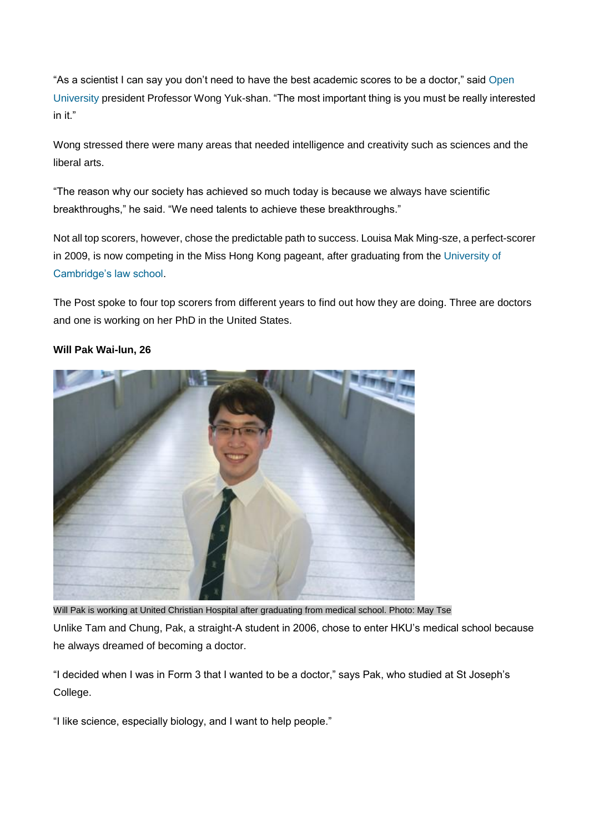"As a scientist I can say you don't need to have the best academic scores to be a doctor," said [Open](http://www.ouhk.edu.hk/wcsprd/Satellite?pagename=OUHK/tcSingPage&lang=eng)  [University](http://www.ouhk.edu.hk/wcsprd/Satellite?pagename=OUHK/tcSingPage&lang=eng) president Professor Wong Yuk-shan. "The most important thing is you must be really interested in it."

Wong stressed there were many areas that needed intelligence and creativity such as sciences and the liberal arts.

"The reason why our society has achieved so much today is because we always have scientific breakthroughs," he said. "We need talents to achieve these breakthroughs."

Not all top scorers, however, chose the predictable path to success. Louisa Mak Ming-sze, a perfect-scorer in 2009, is now competing in the Miss Hong Kong pageant, after graduating from the University of [Cambridge's law school.](http://www.law.cam.ac.uk/)

The Post spoke to four top scorers from different years to find out how they are doing. Three are doctors and one is working on her PhD in the United States.



#### **Will Pak Wai-lun, 26**

Will Pak is working at United Christian Hospital after graduating from medical school. Photo: May Tse Unlike Tam and Chung, Pak, a straight-A student in 2006, chose to enter HKU's medical school because he always dreamed of becoming a doctor.

"I decided when I was in Form 3 that I wanted to be a doctor," says Pak, who studied at St Joseph's College.

"I like science, especially biology, and I want to help people."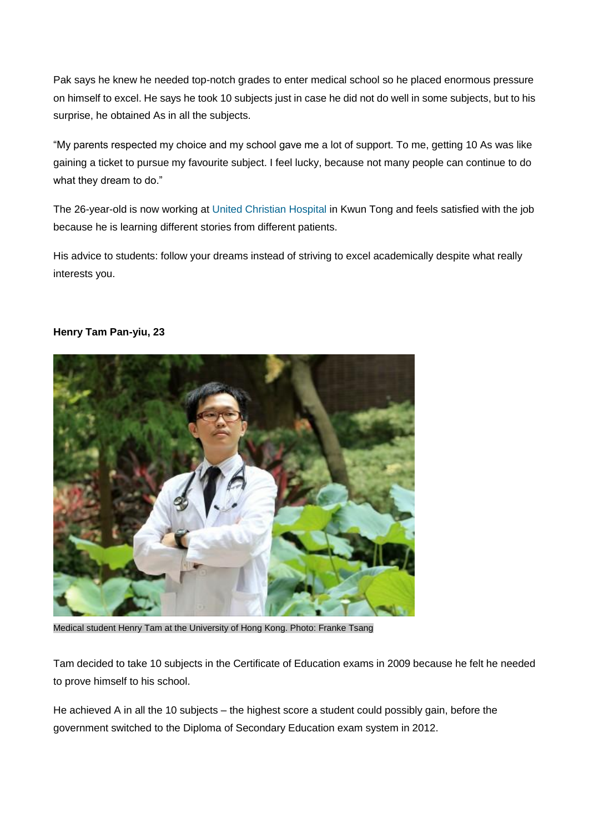Pak says he knew he needed top-notch grades to enter medical school so he placed enormous pressure on himself to excel. He says he took 10 subjects just in case he did not do well in some subjects, but to his surprise, he obtained As in all the subjects.

"My parents respected my choice and my school gave me a lot of support. To me, getting 10 As was like gaining a ticket to pursue my favourite subject. I feel lucky, because not many people can continue to do what they dream to do."

The 26-year-old is now working at [United Christian Hospital](http://www.ha.org.hk/visitor/ha_hosp_details.asp?Content_ID=100156&Lang=ENG) in Kwun Tong and feels satisfied with the job because he is learning different stories from different patients.

His advice to students: follow your dreams instead of striving to excel academically despite what really interests you.

#### **Henry Tam Pan-yiu, 23**



Medical student Henry Tam at the University of Hong Kong. Photo: Franke Tsang

Tam decided to take 10 subjects in the Certificate of Education exams in 2009 because he felt he needed to prove himself to his school.

He achieved A in all the 10 subjects – the highest score a student could possibly gain, before the government switched to the Diploma of Secondary Education exam system in 2012.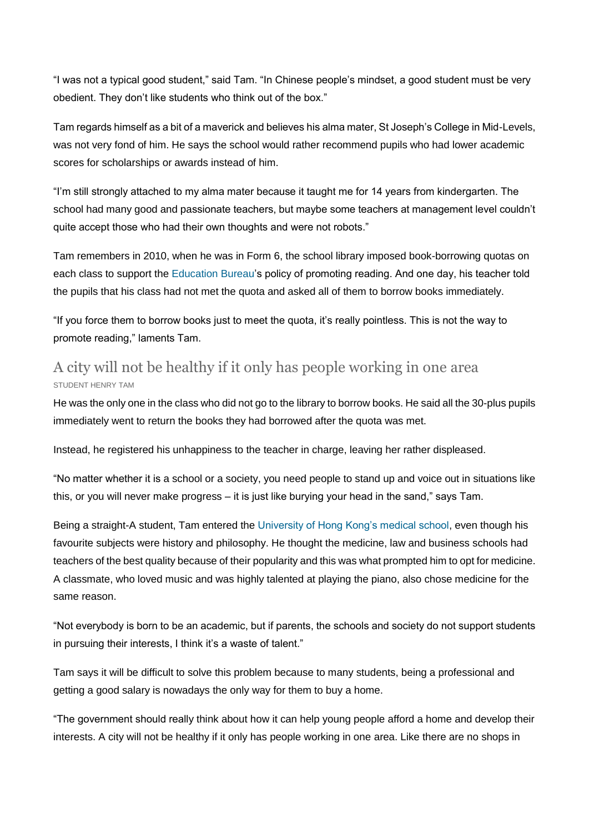"I was not a typical good student," said Tam. "In Chinese people's mindset, a good student must be very obedient. They don't like students who think out of the box."

Tam regards himself as a bit of a maverick and believes his alma mater, St Joseph's College in Mid-Levels, was not very fond of him. He says the school would rather recommend pupils who had lower academic scores for scholarships or awards instead of him.

"I'm still strongly attached to my alma mater because it taught me for 14 years from kindergarten. The school had many good and passionate teachers, but maybe some teachers at management level couldn't quite accept those who had their own thoughts and were not robots."

Tam remembers in 2010, when he was in Form 6, the school library imposed book-borrowing quotas on each class to support the [Education Bureau'](http://www.edb.gov.hk/en/)s policy of promoting reading. And one day, his teacher told the pupils that his class had not met the quota and asked all of them to borrow books immediately.

"If you force them to borrow books just to meet the quota, it's really pointless. This is not the way to promote reading," laments Tam.

### A city will not be healthy if it only has people working in one area STUDENT HENRY TAM

He was the only one in the class who did not go to the library to borrow books. He said all the 30-plus pupils immediately went to return the books they had borrowed after the quota was met.

Instead, he registered his unhappiness to the teacher in charge, leaving her rather displeased.

"No matter whether it is a school or a society, you need people to stand up and voice out in situations like this, or you will never make progress – it is just like burying your head in the sand," says Tam.

Being a straight-A student, Tam entered the [University of Hong Kong's medical school,](http://www.med.hku.hk/v1/) even though his favourite subjects were history and philosophy. He thought the medicine, law and business schools had teachers of the best quality because of their popularity and this was what prompted him to opt for medicine. A classmate, who loved music and was highly talented at playing the piano, also chose medicine for the same reason.

"Not everybody is born to be an academic, but if parents, the schools and society do not support students in pursuing their interests, I think it's a waste of talent."

Tam says it will be difficult to solve this problem because to many students, being a professional and getting a good salary is nowadays the only way for them to buy a home.

"The government should really think about how it can help young people afford a home and develop their interests. A city will not be healthy if it only has people working in one area. Like there are no shops in